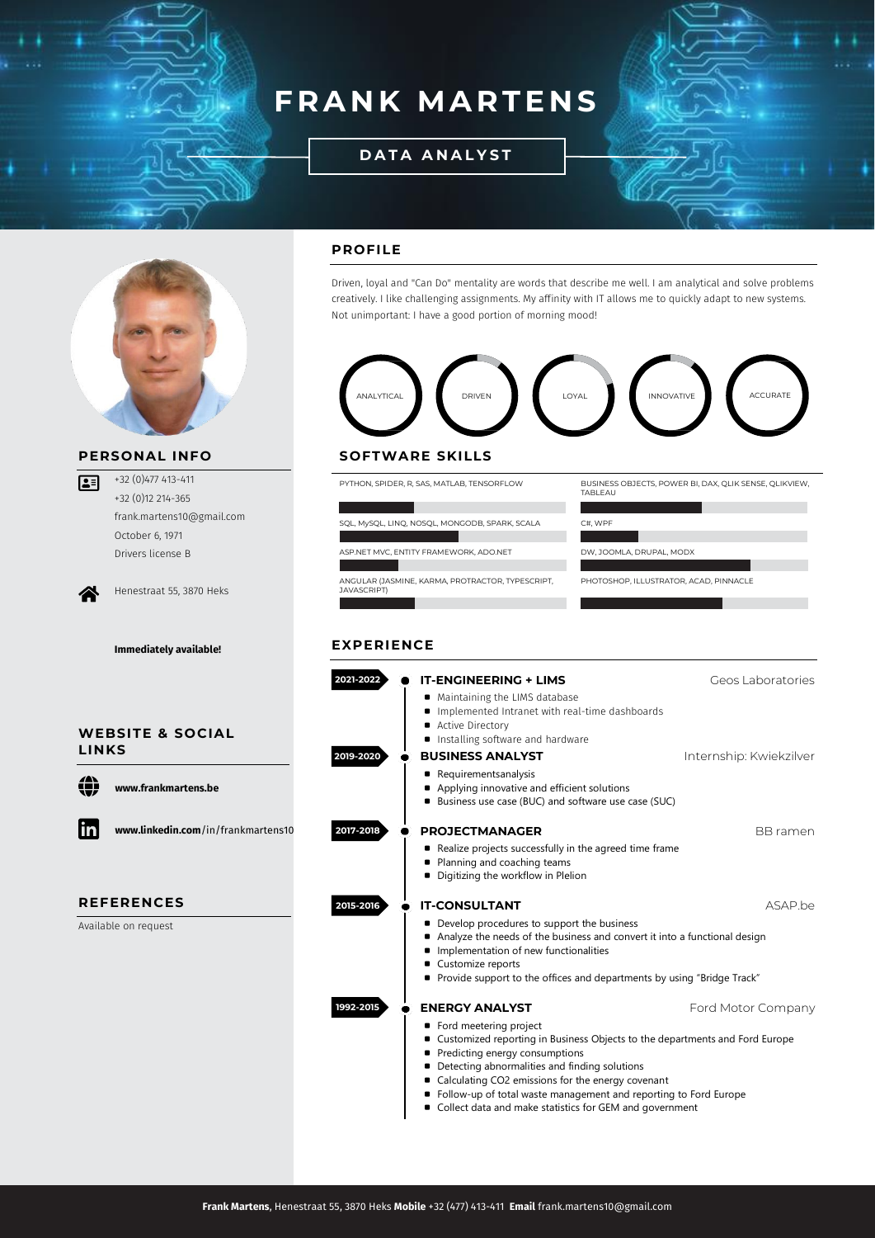# **FRANK MARTENS**

l

**D A T A A N A L Y S T**



# **PERSONAL INFO**

+32 (0)477 413-411 +32 (0)12 214-365 frank.martens10@gmail.com October 6, 1971 Drivers license B

∕₩

 $\sqrt{25}$ 

Henestraat 55, 3870 Heks

**Immediately available!**



⊕ **[www.frankmartens.be](https://www.frankmartens.be/)**



**www.linkedin.com**[/in/frankmartens10](https://www.linkedin.com/in/frankmartens10/)

# **REFERENCES**

Available on request

# **PROFILE**

Driven, loyal and "Can Do" mentality are words that describe me well. I am analytical and solve problems creatively. I like challenging assignments. My affinity with IT allows me to quickly adapt to new systems. Not unimportant: I have a good portion of morning mood!



### **SOFTWARE SKILLS**

PYTHON, SPIDER, R, SAS, MATLAB, TENSORFLOW BUSINESS OBJECTS, POWER BI, DAX, QLIK SENSE, QLIKVIEW, TABLEAU SQL, MySQL, LINQ, NOSQL, MONGODB, SPARK, SCALA C#, WPF ASP.NET MVC, ENTITY FRAMEWORK, ADO.NET DW, JOOMLA, DRUPAL, MODX

ANGULAR (JASMINE, KARMA, PROTRACTOR, TYPESCRIPT,<br>JAVASCRIPT)

PHOTOSHOP, ILLUSTRATOR, ACAD, PINNACLE

## **EXPERIENCE**

| 2021-2022 | <b>IT-ENGINEERING + LIMS</b>                                                                                                                                                                                                                                                                                                                                                             | Geos Laboratories       |
|-----------|------------------------------------------------------------------------------------------------------------------------------------------------------------------------------------------------------------------------------------------------------------------------------------------------------------------------------------------------------------------------------------------|-------------------------|
|           | ■ Maintaining the LIMS database<br>■ Implemented Intranet with real-time dashboards<br>Active Directory<br>■ Installing software and hardware                                                                                                                                                                                                                                            |                         |
| 2019-2020 | <b>BUSINESS ANALYST</b>                                                                                                                                                                                                                                                                                                                                                                  | Internship: Kwiekzilver |
|           | Requirementsanalysis<br>Applying innovative and efficient solutions<br><b>Business use case (BUC) and software use case (SUC)</b>                                                                                                                                                                                                                                                        |                         |
| 2017-2018 | <b>PROJECTMANAGER</b>                                                                                                                                                                                                                                                                                                                                                                    | <b>BB</b> ramen         |
|           | Realize projects successfully in the agreed time frame<br>■ Planning and coaching teams<br>Digitizing the workflow in Plelion                                                                                                                                                                                                                                                            |                         |
| 2015-2016 | <b>IT-CONSULTANT</b>                                                                                                                                                                                                                                                                                                                                                                     | ASAP be                 |
|           | • Develop procedures to support the business<br>Analyze the needs of the business and convert it into a functional design<br>Implementation of new functionalities<br>Customize reports<br>• Provide support to the offices and departments by using "Bridge Track"                                                                                                                      |                         |
| 1992-2015 | <b>ENERGY ANALYST</b>                                                                                                                                                                                                                                                                                                                                                                    | Ford Motor Company      |
|           | ■ Ford meetering project<br>• Customized reporting in Business Objects to the departments and Ford Europe<br>Predicting energy consumptions<br>• Detecting abnormalities and finding solutions<br>■ Calculating CO2 emissions for the energy covenant<br>■ Follow-up of total waste management and reporting to Ford Europe<br>■ Collect data and make statistics for GEM and government |                         |